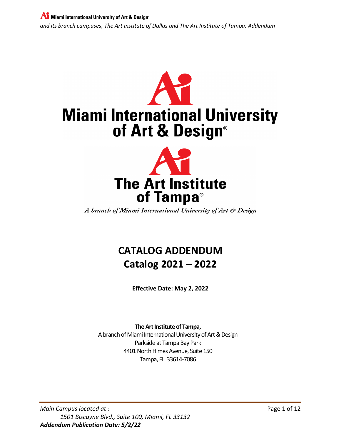

A branch of Miami International University of Art & Design

# **CATALOG ADDENDUM Catalog 2021 – 2022**

**Effective Date: May 2, 2022**

**The Art Institute of Tampa,** A branch of Miami International University of Art & Design

Parkside at Tampa Bay Park 4401 North Himes Avenue, Suite 150 Tampa, FL 33614-7086

*Main Campus located at :* Page 1 of 12 *1501 Biscayne Blvd., Suite 100, Miami, FL 33132 Addendum Publication Date: 5/2/22*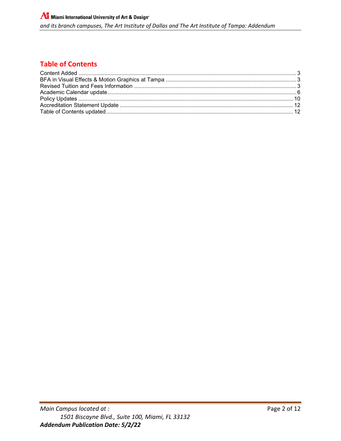## **Table of Contents**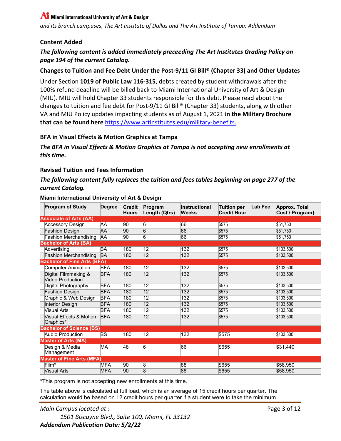## <span id="page-2-0"></span>**Content Added**

## *The following content is added immediately preceeding The Art Institutes Grading Policy on page 194 of the current Catalog.*

## **Changes to Tuition and Fee Debt Under the Post-9/11 GI Bill® (Chapter 33) and Other Updates**

Under Section **1019 of Public Law 116-315**, debts created by student withdrawals after the 100% refund deadline will be billed back to Miami International University of Art & Design (MIU). MIU will hold Chapter 33 students responsible for this debt. Please read about the changes to tuition and fee debt for Post-9/11 GI Bill® (Chapter 33) students, along with other VA and MIU Policy updates impacting students as of August 1, 2021 **in the Military Brochure that can be found here** [https://www.artinstitutes.edu/military-benefits.](https://www.artinstitutes.edu/military-benefits)

#### <span id="page-2-1"></span>**BFA in Visual Effects & Motion Graphics at Tampa**

*The BFA in Visual Effects & Motion Graphics at Tampa is not accepting new enrollments at this time.*

#### <span id="page-2-2"></span>**Revised Tuition and Fees Information**

## *The following content fully replaces the tuition and fees tables beginning on page 277 of the current Catalog.*

| <b>Program of Study</b>                         | <b>Degree</b>            | <b>Credit</b><br><b>Hours</b> | Program<br>Length (Qtrs) | <b>Instructional</b><br><b>Weeks</b> | Tuition per<br><b>Credit Hour</b> | Lab Fee | <b>Approx. Total</b><br>Cost / Program+ |
|-------------------------------------------------|--------------------------|-------------------------------|--------------------------|--------------------------------------|-----------------------------------|---------|-----------------------------------------|
| <b>Associate of Arts (AA)</b>                   |                          |                               |                          |                                      |                                   |         |                                         |
| <b>Accessory Design</b>                         | AA                       | 90                            | 6                        | 66                                   | \$575                             |         | \$51,750                                |
| <b>Fashion Design</b>                           | AΑ                       | 90                            | $\overline{6}$           | 66                                   | \$575                             |         | \$51,750                                |
| <b>Fashion Merchandising</b>                    | ΆA                       | $\overline{90}$               | $\overline{6}$           | 66                                   | \$575                             |         | \$51,750                                |
| <b>Bachelor of Arts (BA)</b>                    |                          |                               |                          |                                      |                                   |         |                                         |
| Advertising                                     | BA                       | 180                           | 12                       | 132                                  | \$575                             |         | \$103,500                               |
| <b>Fashion Merchandising</b>                    | <b>BA</b>                | 180                           | $ 12\rangle$             | 132                                  | \$575                             |         | \$103,500                               |
| <b>Bachelor of Fine Arts (BFA)</b>              |                          |                               |                          |                                      |                                   |         |                                         |
| <b>Computer Animation</b>                       | <b>BFA</b>               | 180                           | $\overline{12}$          | 132                                  | \$575                             |         | \$103,500                               |
| Digital Filmmaking &<br><b>Video Production</b> | <b>BFA</b>               | 180                           | $ 12\rangle$             | 132                                  | \$575                             |         | \$103,500                               |
| Digital Photography                             | <b>BFA</b>               | 180                           | $\overline{12}$          | 132                                  | \$575                             |         | \$103,500                               |
| <b>Fashion Design</b>                           | <b>BFA</b>               | 180                           | 12                       | 132                                  | \$575                             |         | \$103,500                               |
| Graphic & Web Design                            | <b>BFA</b>               | 180                           | 12                       | 132                                  | \$575                             |         | \$103,500                               |
| Interior Design                                 | <b>BFA</b>               | 180                           | $ 12\rangle$             | 132                                  | \$575                             |         | \$103,500                               |
| <b>Visual Arts</b>                              | <b>BFA</b>               | 180                           | $\overline{12}$          | 132                                  | \$575                             |         | \$103,500                               |
| Visual Effects & Motion<br>Graphics*            | <b>BFA</b>               | 180                           | $ 12\rangle$             | 132                                  | \$575                             |         | \$103,500                               |
| <b>Bachelor of Science (BS)</b>                 |                          |                               |                          |                                      |                                   |         |                                         |
| <b>Audio Production</b>                         | $\overline{\mathsf{BS}}$ | 180                           | $\overline{12}$          | 132                                  | \$575                             |         | \$103,500                               |
| <b>Master of Arts (MA)</b>                      |                          |                               |                          |                                      |                                   |         |                                         |
| Design & Media<br>Management                    | МA                       | 48                            | 6                        | 66                                   | \$655                             |         | \$31,440                                |
| <b>Master of Fine Arts (MFA)</b>                |                          |                               |                          |                                      |                                   |         |                                         |
| $Film^*$                                        | MFA                      | 90                            | 8                        | 88                                   | \$655                             |         | \$58,950                                |
| <b>Visual Arts</b>                              | MFA                      | 90                            | $\overline{8}$           | 88                                   | \$655                             |         | \$58,950                                |

#### **Miami International University of Art & Design**

\*This program is not accepting new enrollments at this time.

The table above is calculated at full load, which is an average of 15 credit hours per quarter. The calculation would be based on 12 credit hours per quarter if a student were to take the minimum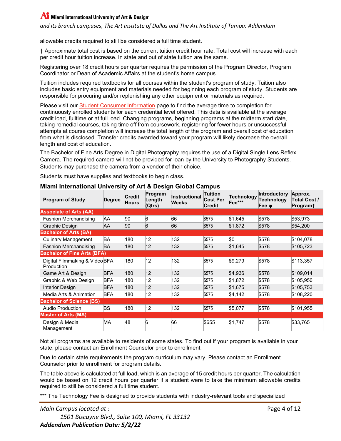allowable credits required to still be considered a full time student.

† Approximate total cost is based on the current tuition credit hour rate. Total cost will increase with each per credit hour tuition increase. In state and out of state tuition are the same.

Registering over 18 credit hours per quarter requires the permission of the Program Director, Program Coordinator or Dean of Academic Affairs at the student's home campus.

Tuition includes required textbooks for all courses within the student's program of study. Tuition also includes basic entry equipment and materials needed for beginning each program of study. Students are responsible for procuring and/or replenishing any other equipment or materials as required.

Please visit our [Student Consumer Information](https://www.artinstitutes.edu/miami/student-consumer-information/) page to find the average time to completion for continuously enrolled students for each credential level offered. This data is available at the average credit load, fulltime or at full load. Changing programs, beginning programs at the midterm start date, taking remedial courses, taking time off from coursework, registering for fewer hours or unsuccessful attempts at course completion will increase the total length of the program and overall cost of education from what is disclosed. Transfer credits awarded toward your program will likely decrease the overall length and cost of education.

The Bachelor of Fine Arts Degree in Digital Photography requires the use of a Digital Single Lens Reflex Camera. The required camera will not be provided for loan by the University to Photography Students. Students may purchase the camera from a vendor of their choice.

Students must have supplies and textbooks to begin class.

| <b>Program of Study</b>                     | <b>Degree</b> | <b>Credit</b><br><b>Hours</b> | Program<br>Length<br>(Qtrs) | Instructional<br>Weeks | Tuition<br><b>Cost Per</b><br><b>Credit</b> | <b>Technology</b><br>Fee*** | <b>Introductory</b><br>Technology<br>Fee φ | Approx.<br>Total Cost /<br>Program† |
|---------------------------------------------|---------------|-------------------------------|-----------------------------|------------------------|---------------------------------------------|-----------------------------|--------------------------------------------|-------------------------------------|
| <b>Associate of Arts (AA)</b>               |               |                               |                             |                        |                                             |                             |                                            |                                     |
| <b>Fashion Merchandising</b>                | AΑ            | 90                            | 6                           | 66                     | \$575                                       | \$1,645                     | \$578                                      | \$53,973                            |
| Graphic Design                              | AΑ            | 90                            | 6                           | 66                     | \$575                                       | \$1,872                     | \$578                                      | \$54,200                            |
| <b>Bachelor of Arts (BA)</b>                |               |                               |                             |                        |                                             |                             |                                            |                                     |
| Culinary Management                         | BA            | 180                           | 12                          | 132                    | \$575                                       | \$0                         | \$578                                      | \$104,078                           |
| <b>Fashion Merchandising</b>                | BA            | 180                           | $ 12\rangle$                | 132                    | \$575                                       | \$1,645                     | \$578                                      | \$105,723                           |
| <b>Bachelor of Fine Arts (BFA)</b>          |               |                               |                             |                        |                                             |                             |                                            |                                     |
| Digital Filmmaking & VideoBFA<br>Production |               | 180                           | $ 12\rangle$                | 132                    | \$575                                       | \$9,279                     | \$578                                      | \$113,357                           |
| Game Art & Design                           | <b>BFA</b>    | 180                           | $ 12\rangle$                | 132                    | \$575                                       | \$4,936                     | \$578                                      | \$109,014                           |
| Graphic & Web Design                        | <b>BFA</b>    | 180                           | 12                          | 132                    | \$575                                       | \$1,872                     | \$578                                      | \$105,950                           |
| Interior Design                             | <b>BFA</b>    | 180                           | 12                          | 132                    | \$575                                       | \$1,675                     | \$578                                      | \$105,753                           |
| Media Arts & Animation                      | <b>BFA</b>    | 180                           | 12                          | 132                    | \$575                                       | \$4,142                     | \$578                                      | \$108,220                           |
| <b>Bachelor of Science (BS)</b>             |               |                               |                             |                        |                                             |                             |                                            |                                     |
| Audio Production                            | BS            | 180                           | 12                          | 132                    | \$575                                       | \$5,077                     | \$578                                      | \$101,955                           |
| <b>Master of Arts (MA)</b>                  |               |                               |                             |                        |                                             |                             |                                            |                                     |
| Design & Media<br>Management                | МA            | 48                            | 6                           | 66                     | \$655                                       | \$1,747                     | \$578                                      | \$33,765                            |

## **Miami International University of Art & Design Global Campus**

Not all programs are available to residents of some states. To find out if your program is available in your state, please contact an Enrollment Counselor prior to enrollment.

Due to certain state requirements the program curriculum may vary. Please contact an Enrollment Counselor prior to enrollment for program details.

The table above is calculated at full load, which is an average of 15 credit hours per quarter. The calculation would be based on 12 credit hours per quarter if a student were to take the minimum allowable credits required to still be considered a full time student.

\*\*\* The Technology Fee is designed to provide students with industry-relevant tools and specialized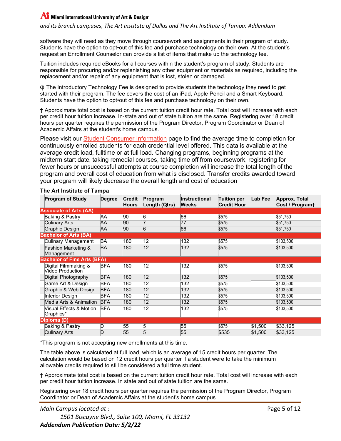software they will need as they move through coursework and assignments in their program of study. Students have the option to opt•out of this fee and purchase technology on their own. At the student's request an Enrollment Counselor can provide a list of items that make up the technology fee.

Tuition includes required eBooks for all courses within the student's program of study. Students are responsible for procuring and/or replenishing any other equipment or materials as required, including the replacement and/or repair of any equipment that is lost, stolen or damaged.

φ The Introductory Technology Fee is designed to provide students the technology they need to get started with their program. The fee covers the cost of an iPad, Apple Pencil and a Smart Keyboard. Students have the option to opt•out of this fee and purchase technology on their own.

† Approximate total cost is based on the current tuition credit hour rate. Total cost will increase with each per credit hour tuition increase. In-state and out of state tuition are the same. Registering over 18 credit hours per quarter requires the permission of the Program Director, Program Coordinator or Dean of Academic Affairs at the student's home campus.

Please visit our **Student Consumer Information** page to find the average time to completion for continuously enrolled students for each credential level offered. This data is available at the average credit load, fulltime or at full load. Changing programs, beginning programs at the midterm start date, taking remedial courses, taking time off from coursework, registering for fewer hours or unsuccessful attempts at course completion will increase the total length of the program and overall cost of education from what is disclosed. Transfer credits awarded toward your program will likely decrease the overall length and cost of education

| <b>Program of Study</b>                          | <b>Degree</b> | <b>Credit</b><br><b>Hours</b> | Program<br>Length (Qtrs) | Instructional<br><b>Weeks</b> | <b>Tuition per</b><br><b>Credit Hour</b> | Lab Fee | Approx. Total<br>Cost / Program+ |
|--------------------------------------------------|---------------|-------------------------------|--------------------------|-------------------------------|------------------------------------------|---------|----------------------------------|
| <b>Associate of Arts (AA)</b>                    |               |                               |                          |                               |                                          |         |                                  |
| Baking & Pastry                                  | AΑ            | 90                            | 6                        | 66                            | \$575                                    |         | \$51,750                         |
| <b>Culinary Arts</b>                             | AΑ            | 90                            | 7                        | 77                            | \$575                                    |         | \$51,750                         |
| Graphic Design                                   | AΑ            | 90                            | $\overline{6}$           | 66                            | \$575                                    |         | \$51,750                         |
| <b>Bachelor of Arts (BA)</b>                     |               |                               |                          |                               |                                          |         |                                  |
| <b>Culinary Management</b>                       | BA            | 180                           | 12                       | 132                           | \$575                                    |         | \$103,500                        |
| <b>Fashion Marketing &amp;</b>                   | BA            | 180                           | $ 12\rangle$             | 132                           | \$575                                    |         | \$103,500                        |
| Management<br><b>Bachelor of Fine Arts (BFA)</b> |               |                               |                          |                               |                                          |         |                                  |
|                                                  | <b>BFA</b>    | 180                           | 12                       | 132                           | \$575                                    |         |                                  |
| Digital Filmmaking &<br>Video Production         |               |                               |                          |                               |                                          |         | \$103,500                        |
| Digital Photography                              | <b>BFA</b>    | 180                           | $\overline{12}$          | 132                           | \$575                                    |         | \$103,500                        |
| Game Art & Design                                | <b>BFA</b>    | 180                           | 12                       | 132                           | \$575                                    |         | \$103,500                        |
| Graphic & Web Design                             | <b>BFA</b>    | 180                           | $ 12\rangle$             | 132                           | \$575                                    |         | \$103,500                        |
| Interior Design                                  | <b>BFA</b>    | 180                           | $\overline{12}$          | 132                           | \$575                                    |         | \$103,500                        |
| Media Arts & Animation                           | <b>BFA</b>    | 180                           | 12                       | 132                           | \$575                                    |         | \$103,500                        |
| Visual Effects & Motion<br>Graphics*             | <b>BFA</b>    | 180                           | 12                       | 132                           | \$575                                    |         | \$103,500                        |
| Diploma (D)                                      |               |                               |                          |                               |                                          |         |                                  |
| Baking & Pastry                                  | D             | 55                            | 5                        | 55                            | \$575                                    | \$1,500 | \$33,125                         |
| <b>Culinary Arts</b>                             | D             | 55                            | 5                        | 55                            | \$535                                    | \$1,500 | \$33,125                         |

#### **The Art Institute of Tampa**

\*This program is not accepting new enrollments at this time.

The table above is calculated at full load, which is an average of 15 credit hours per quarter. The calculation would be based on 12 credit hours per quarter if a student were to take the minimum allowable credits required to still be considered a full time student.

† Approximate total cost is based on the current tuition credit hour rate. Total cost will increase with each per credit hour tuition increase. In state and out of state tuition are the same.

Registering over 18 credit hours per quarter requires the permission of the Program Director, Program Coordinator or Dean of Academic Affairs at the student's home campus.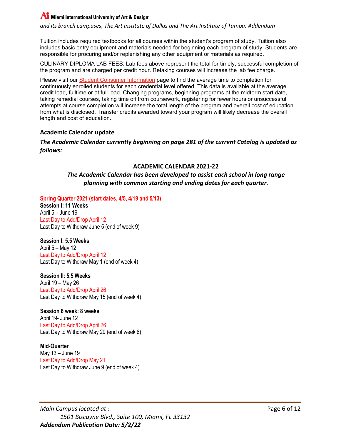$\Lambda$  Miami International University of Art & Design®

*and its branch campuses, The Art Institute of Dallas and The Art Institute of Tampa: Addendum*

Tuition includes required textbooks for all courses within the student's program of study. Tuition also includes basic entry equipment and materials needed for beginning each program of study. Students are responsible for procuring and/or replenishing any other equipment or materials as required.

CULINARY DIPLOMA LAB FEES: Lab fees above represent the total for timely, successful completion of the program and are charged per credit hour. Retaking courses will increase the lab fee charge.

Please visit our **Student Consumer Information** page to find the average time to completion for continuously enrolled students for each credential level offered. This data is available at the average credit load, fulltime or at full load. Changing programs, beginning programs at the midterm start date, taking remedial courses, taking time off from coursework, registering for fewer hours or unsuccessful attempts at course completion will increase the total length of the program and overall cost of education from what is disclosed. Transfer credits awarded toward your program will likely decrease the overall length and cost of education.

#### <span id="page-5-0"></span>**Academic Calendar update**

#### *The Academic Calendar currently beginning on page 281 of the current Catalog is updated as follows:*

#### **ACADEMIC CALENDAR 2021-22**

#### *The Academic Calendar has been developed to assist each school in long range planning with common starting and ending dates for each quarter.*

**Spring Quarter 2021 (start dates, 4/5, 4/19 and 5/13)**

**Session I: 11 Weeks** April 5 – June 19 Last Day to Add/Drop April 12 Last Day to Withdraw June 5 (end of week 9)

**Session I: 5.5 Weeks**

April 5 – May 12 Last Day to Add/Drop April 12 Last Day to Withdraw May 1 (end of week 4)

**Session II: 5.5 Weeks** April 19 – May 26 Last Day to Add/Drop April 26 Last Day to Withdraw May 15 (end of week 4)

**Session 8 week: 8 weeks** April 19- June 12 Last Day to Add/Drop April 26 Last Day to Withdraw May 29 (end of week 6)

**Mid-Quarter** May 13 – June 19 Last Day to Add/Drop May 21 Last Day to Withdraw June 9 (end of week 4)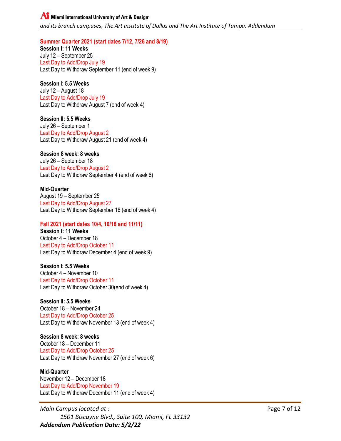#### **AT** Miami International University of Art & Design<sup>®</sup>

*and its branch campuses, The Art Institute of Dallas and The Art Institute of Tampa: Addendum*

**Summer Quarter 2021 (start dates 7/12, 7/26 and 8/19)**

**Session I: 11 Weeks** July 12 – September 25 Last Day to Add/Drop July 19 Last Day to Withdraw September 11 (end of week 9)

#### **Session I: 5.5 Weeks**

July 12 – August 18 Last Day to Add/Drop July 19 Last Day to Withdraw August 7 (end of week 4)

**Session II: 5.5 Weeks** July 26 – September 1 Last Day to Add/Drop August 2 Last Day to Withdraw August 21 (end of week 4)

#### **Session 8 week: 8 weeks**

July 26 – September 18 Last Day to Add/Drop August 2 Last Day to Withdraw September 4 (end of week 6)

#### **Mid-Quarter**

August 19 – September 25 Last Day to Add/Drop August 27 Last Day to Withdraw September 18 (end of week 4)

#### **Fall 2021 (start dates 10/4, 10/18 and 11/11)**

**Session I: 11 Weeks** October 4 – December 18 Last Day to Add/Drop October 11 Last Day to Withdraw December 4 (end of week 9)

## **Session I: 5.5 Weeks**

October 4 – November 10 Last Day to Add/Drop October 11 Last Day to Withdraw October 30(end of week 4)

#### **Session II: 5.5 Weeks**

October 18 – November 24 Last Day to Add/Drop October 25 Last Day to Withdraw November 13 (end of week 4)

#### **Session 8 week: 8 weeks**

October 18 – December 11 Last Day to Add/Drop October 25 Last Day to Withdraw November 27 (end of week 6)

#### **Mid-Quarter**

November 12 – December 18 Last Day to Add/Drop November 19 Last Day to Withdraw December 11 (end of week 4)

*Main Campus located at :* Page 7 of 12 *1501 Biscayne Blvd., Suite 100, Miami, FL 33132 Addendum Publication Date: 5/2/22*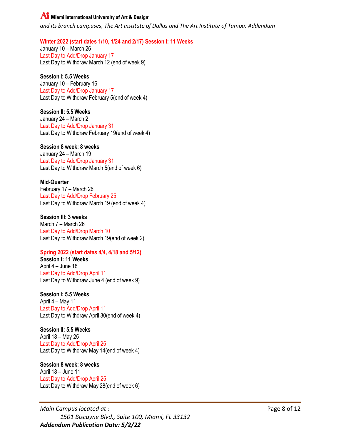## **AT** Miami International University of Art & Design<sup>®</sup>

*and its branch campuses, The Art Institute of Dallas and The Art Institute of Tampa: Addendum*

#### **Winter 2022 (start dates 1/10, 1/24 and 2/17) Session I: 11 Weeks**

January 10 – March 26 Last Day to Add/Drop January 17 Last Day to Withdraw March 12 (end of week 9)

#### **Session I: 5.5 Weeks**

January 10 – February 16 Last Day to Add/Drop January 17 Last Day to Withdraw February 5(end of week 4)

#### **Session II: 5.5 Weeks**

January 24 – March 2 Last Day to Add/Drop January 31 Last Day to Withdraw February 19(end of week 4)

#### **Session 8 week: 8 weeks**

January 24 – March 19 Last Day to Add/Drop January 31 Last Day to Withdraw March 5(end of week 6)

#### **Mid-Quarter**

February 17 – March 26 Last Day to Add/Drop February 25 Last Day to Withdraw March 19 (end of week 4)

#### **Session III: 3 weeks**

March 7 – March 26 Last Day to Add/Drop March 10 Last Day to Withdraw March 19(end of week 2)

#### **Spring 2022 (start dates 4/4, 4/18 and 5/12)**

**Session I: 11 Weeks** April 4 – June 18 Last Day to Add/Drop April 11 Last Day to Withdraw June 4 (end of week 9)

#### **Session I: 5.5 Weeks**

April 4 – May 11 Last Day to Add/Drop April 11 Last Day to Withdraw April 30(end of week 4)

## **Session II: 5.5 Weeks**

April 18 – May 25 Last Day to Add/Drop April 25 Last Day to Withdraw May 14(end of week 4)

## **Session 8 week: 8 weeks**

April 18 – June 11 Last Day to Add/Drop April 25 Last Day to Withdraw May 28(end of week 6)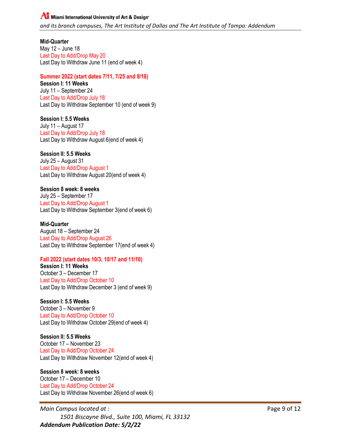## **Al** Miami International University of Art & Design<sup>®</sup> *and its branch campuses, The Art Institute of Dallas and The Art Institute of Tampa: Addendum*

**Mid-Quarter** May 12 – June 18 Last Day to Add/Drop May 20 Last Day to Withdraw June 11 (end of week 4)

## **Summer 2022 (start dates 7/11, 7/25 and 8/18)**

**Session I: 11 Weeks** July 11 – September 24 Last Day to Add/Drop July 18 Last Day to Withdraw September 10 (end of week 9)

**Session I: 5.5 Weeks** July 11 – August 17 Last Day to Add/Drop July 18 Last Day to Withdraw August 6(end of week 4)

## **Session II: 5.5 Weeks**

July 25 – August 31 Last Day to Add/Drop August 1 Last Day to Withdraw August 20(end of week 4)

#### **Session 8 week: 8 weeks**

July 25 – September 17 Last Day to Add/Drop August 1 Last Day to Withdraw September 3(end of week 6)

#### **Mid-Quarter**

August 18 – September 24 Last Day to Add/Drop August 26 Last Day to Withdraw September 17(end of week 4)

#### **Fall 2022 (start dates 10/3, 10/17 and 11/10)**

**Session I: 11 Weeks** October 3 – December 17 Last Day to Add/Drop October 10 Last Day to Withdraw December 3 (end of week 9)

**Session I: 5.5 Weeks**

October 3 – November 9 Last Day to Add/Drop October 10 Last Day to Withdraw October 29(end of week 4)

## **Session II: 5.5 Weeks**

October 17 – November 23 Last Day to Add/Drop October 24 Last Day to Withdraw November 12(end of week 4)

#### **Session 8 week: 8 weeks**

October 17 – December 10 Last Day to Add/Drop October 24 Last Day to Withdraw November 26(end of week 6)

*Main Campus located at :* Page 9 of 12 *1501 Biscayne Blvd., Suite 100, Miami, FL 33132 Addendum Publication Date: 5/2/22*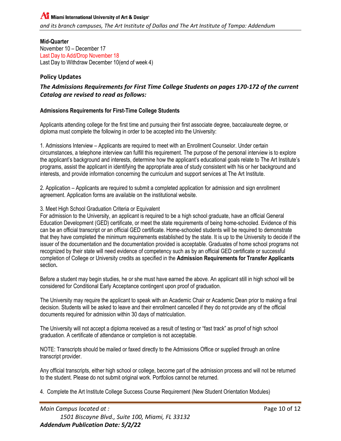**Mid-Quarter** November 10 – December 17 Last Day to Add/Drop November 18 Last Day to Withdraw December 10(end of week 4)

## <span id="page-9-0"></span>**Policy Updates**

## *The Admissions Requirements for First Time College Students on pages 170-172 of the current Catalog are revised to read as follows:*

## **Admissions Requirements for First-Time College Students**

Applicants attending college for the first time and pursuing their first associate degree, baccalaureate degree, or diploma must complete the following in order to be accepted into the University:

1. Admissions Interview – Applicants are required to meet with an Enrollment Counselor. Under certain circumstances, a telephone interview can fulfill this requirement. The purpose of the personal interview is to explore the applicant's background and interests, determine how the applicant's educational goals relate to The Art Institute's programs, assist the applicant in identifying the appropriate area of study consistent with his or her background and interests, and provide information concerning the curriculum and support services at The Art Institute.

2. Application – Applicants are required to submit a completed application for admission and sign enrollment agreement. Application forms are available on the institutional website.

#### 3. Meet High School Graduation Criteria or Equivalent

For admission to the University, an applicant is required to be a high school graduate, have an official General Education Development (GED) certificate, or meet the state requirements of being home-schooled. Evidence of this can be an official transcript or an official GED certificate. Home-schooled students will be required to demonstrate that they have completed the minimum requirements established by the state. It is up to the University to decide if the issuer of the documentation and the documentation provided is acceptable. Graduates of home school programs not recognized by their state will need evidence of competency such as by an official GED certificate or successful completion of College or University credits as specified in the **Admission Requirements for Transfer Applicants**  section**.**

Before a student may begin studies, he or she must have earned the above. An applicant still in high school will be considered for Conditional Early Acceptance contingent upon proof of graduation.

The University may require the applicant to speak with an Academic Chair or Academic Dean prior to making a final decision. Students will be asked to leave and their enrollment cancelled if they do not provide any of the official documents required for admission within 30 days of matriculation.

The University will not accept a diploma received as a result of testing or "fast track" as proof of high school graduation. A certificate of attendance or completion is not acceptable.

NOTE: Transcripts should be mailed or faxed directly to the Admissions Office or supplied through an online transcript provider.

Any official transcripts, either high school or college, become part of the admission process and will not be returned to the student. Please do not submit original work. Portfolios cannot be returned.

4. Complete the Art Institute College Success Course Requirement (New Student Orientation Modules)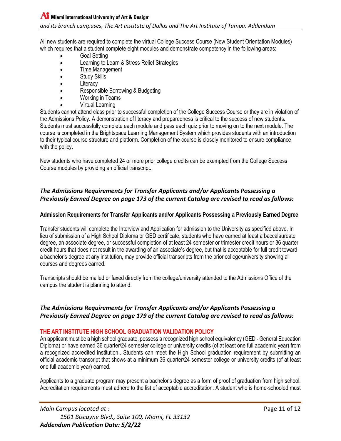All new students are required to complete the virtual College Success Course (New Student Orientation Modules) which requires that a student complete eight modules and demonstrate competency in the following areas:

- Goal Setting
- Learning to Learn & Stress Relief Strategies
- Time Management
- Study Skills
- **Literacy**
- Responsible Borrowing & Budgeting
- Working in Teams
- Virtual Learning

Students cannot attend class prior to successful completion of the College Success Course or they are in violation of the Admissions Policy. A demonstration of literacy and preparedness is critical to the success of new students. Students must successfully complete each module and pass each quiz prior to moving on to the next module. The course is completed in the Brightspace Learning Management System which provides students with an introduction to their typical course structure and platform. Completion of the course is closely monitored to ensure compliance with the policy.

New students who have completed 24 or more prior college credits can be exempted from the College Success Course modules by providing an official transcript.

## *The Admissions Requirements for Transfer Applicants and/or Applicants Possessing a Previously Earned Degree on page 173 of the current Catalog are revised to read as follows:*

#### **Admission Requirements for Transfer Applicants and/or Applicants Possessing a Previously Earned Degree**

Transfer students will complete the Interview and Application for admission to the University as specified above. In lieu of submission of a High School Diploma or GED certificate, students who have earned at least a baccalaureate degree, an associate degree, or successful completion of at least 24 semester or trimester credit hours or 36 quarter credit hours that does not result in the awarding of an associate's degree, but that is acceptable for full credit toward a bachelor's degree at any institution, may provide official transcripts from the prior college/university showing all courses and degrees earned.

Transcripts should be mailed or faxed directly from the college/university attended to the Admissions Office of the campus the student is planning to attend.

## *The Admissions Requirements for Transfer Applicants and/or Applicants Possessing a Previously Earned Degree on page 179 of the current Catalog are revised to read as follows:*

#### **THE ART INSTITUTE HIGH SCHOOL GRADUATION VALIDATION POLICY**

An applicant must be a high school graduate, possess a recognized high school equivalency (GED - General Education Diploma) or have earned 36 quarter/24 semester college or university credits (of at least one full academic year) from a recognized accredited institution.. Students can meet the High School graduation requirement by submitting an official academic transcript that shows at a minimum 36 quarter/24 semester college or university credits (of at least one full academic year) earned.

Applicants to a graduate program may present a bachelor's degree as a form of proof of graduation from high school. Accreditation requirements must adhere to the list of acceptable accreditation. A student who is home-schooled must